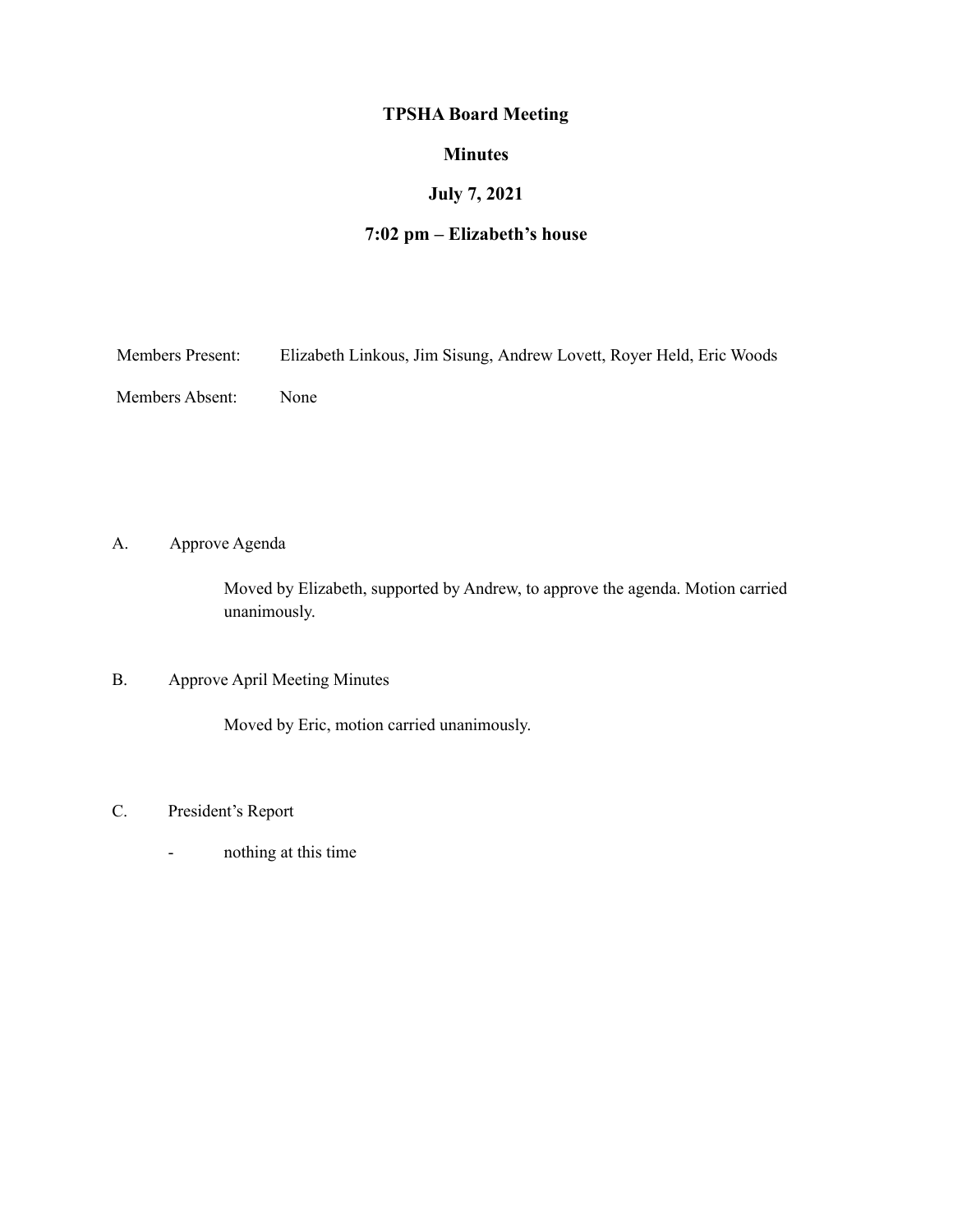# **TPSHA Board Meeting**

### **Minutes**

## **July 7, 2021**

# **7:02 pm – Elizabeth's house**

| <b>Members Present:</b> | Elizabeth Linkous, Jim Sisung, Andrew Lovett, Royer Held, Eric Woods |  |  |
|-------------------------|----------------------------------------------------------------------|--|--|
|                         |                                                                      |  |  |

Members Absent: None

A. Approve Agenda

Moved by Elizabeth, supported by Andrew, to approve the agenda. Motion carried unanimously.

### B. Approve April Meeting Minutes

Moved by Eric, motion carried unanimously.

- C. President's Report
	- nothing at this time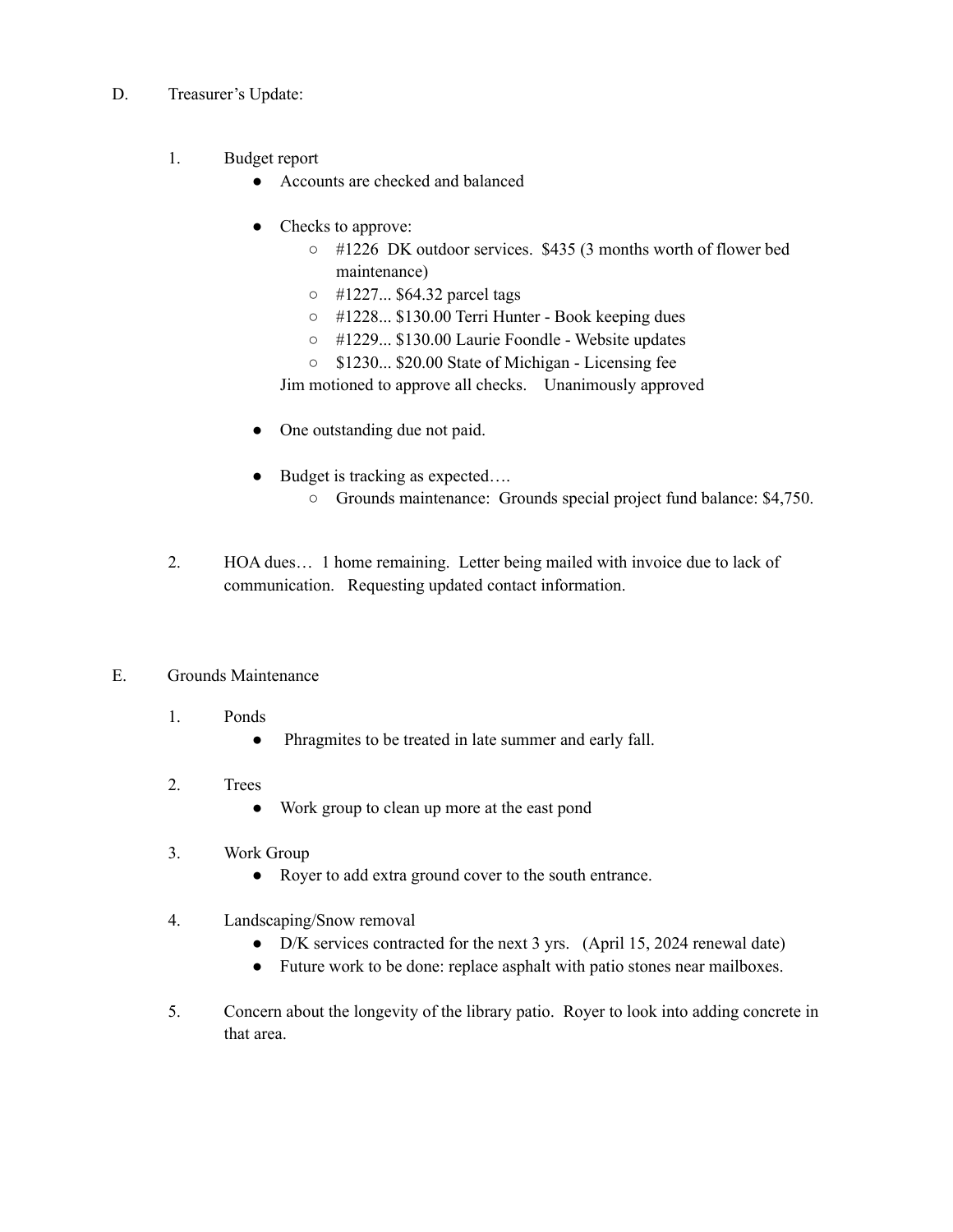- D. Treasurer's Update:
	- 1. Budget report
		- Accounts are checked and balanced
		- Checks to approve:
			- #1226 DK outdoor services. \$435 (3 months worth of flower bed maintenance)
			- #1227... \$64.32 parcel tags
			- #1228... \$130.00 Terri Hunter Book keeping dues
			- #1229... \$130.00 Laurie Foondle Website updates
			- \$1230... \$20.00 State of Michigan Licensing fee

Jim motioned to approve all checks. Unanimously approved

- One outstanding due not paid.
- Budget is tracking as expected….
	- Grounds maintenance: Grounds special project fund balance: \$4,750.
- 2. HOA dues… 1 home remaining. Letter being mailed with invoice due to lack of communication. Requesting updated contact information.

#### E. Grounds Maintenance

- 1. Ponds
	- Phragmites to be treated in late summer and early fall.
- 2. Trees
	- Work group to clean up more at the east pond
- 3. Work Group
	- Royer to add extra ground cover to the south entrance.
- 4. Landscaping/Snow removal
	- D/K services contracted for the next 3 yrs. (April 15, 2024 renewal date)
	- Future work to be done: replace asphalt with patio stones near mailboxes.
- 5. Concern about the longevity of the library patio. Royer to look into adding concrete in that area.